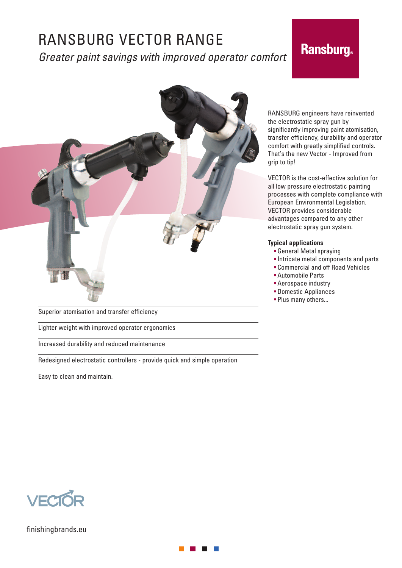# RANSBURG VECTOR RANGE *Greater paint savings with improved operator comfort*

# **Ransburg**



Superior atomisation and transfer efficiency

Lighter weight with improved operator ergonomics

Increased durability and reduced maintenance

Redesigned electrostatic controllers - provide quick and simple operation

Easy to clean and maintain.

RANSBURG engineers have reinvented the electrostatic spray gun by significantly improving paint atomisation, transfer efficiency, durability and operator comfort with greatly simplified controls. That's the new Vector - Improved from grip to tip!

VECTOR is the cost-effective solution for all low pressure electrostatic painting processes with complete compliance with European Environmental Legislation. VECTOR provides considerable advantages compared to any other electrostatic spray gun system.

### **Typical applications**

- General Metal spraying
- Intricate metal components and parts
	- Commercial and off Road Vehicles
	- Automobile Parts
	- Aerospace industry
	- Domestic Appliances
	- **Plus many others...**



finishingbrands.eu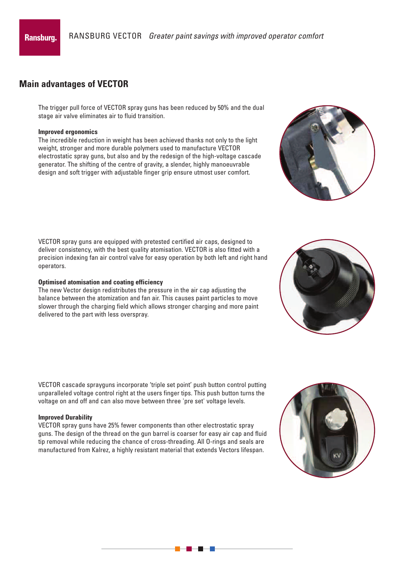## **Main advantages of VECTOR**

The trigger pull force of VECTOR spray guns has been reduced by 50% and the dual stage air valve eliminates air to fluid transition.

### **Improved ergonomics**

The incredible reduction in weight has been achieved thanks not only to the light weight, stronger and more durable polymers used to manufacture VECTOR electrostatic spray guns, but also and by the redesign of the high-voltage cascade generator. The shifting of the centre of gravity, a slender, highly manoeuvrable design and soft trigger with adjustable finger grip ensure utmost user comfort.

VECTOR spray guns are equipped with pretested certified air caps, designed to deliver consistency, with the best quality atomisation. VECTOR is also fitted with a precision indexing fan air control valve for easy operation by both left and right hand operators.

### **Optimised atomisation and coating efficiency**

The new Vector design redistributes the pressure in the air cap adjusting the balance between the atomization and fan air. This causes paint particles to move slower through the charging field which allows stronger charging and more paint delivered to the part with less overspray.

VECTOR cascade sprayguns incorporate 'triple set point' push button control putting unparalleled voltage control right at the users finger tips. This push button turns the voltage on and off and can also move between three 'pre set' voltage levels.

### **Improved Durability**

VECTOR spray guns have 25% fewer components than other electrostatic spray guns. The design of the thread on the gun barrel is coarser for easy air cap and fluid tip removal while reducing the chance of cross-threading. All O-rings and seals are manufactured from Kalrez, a highly resistant material that extends Vectors lifespan.





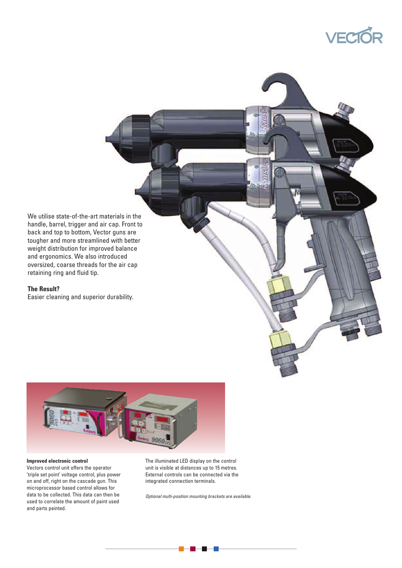

We utilise state-of-the-art materials in the handle, barrel, trigger and air cap. Front to back and top to bottom, Vector guns are tougher and more streamlined with better weight distribution for improved balance and ergonomics. We also introduced oversized, coarse threads for the air cap retaining ring and fluid tip.

### **The Result?**

Easier cleaning and superior durability.



### **Improved electronic control**

Vectors control unit offers the operator 'triple set point' voltage control, plus power on and off, right on the cascade gun. This microprocessor based control allows for data to be collected. This data can then be used to correlate the amount of paint used and parts painted.

The illuminated LED display on the control unit is visible at distances up to 15 metres. External controls can be connected via the integrated connection terminals.

*Optional multi-position mounting brackets are available.*